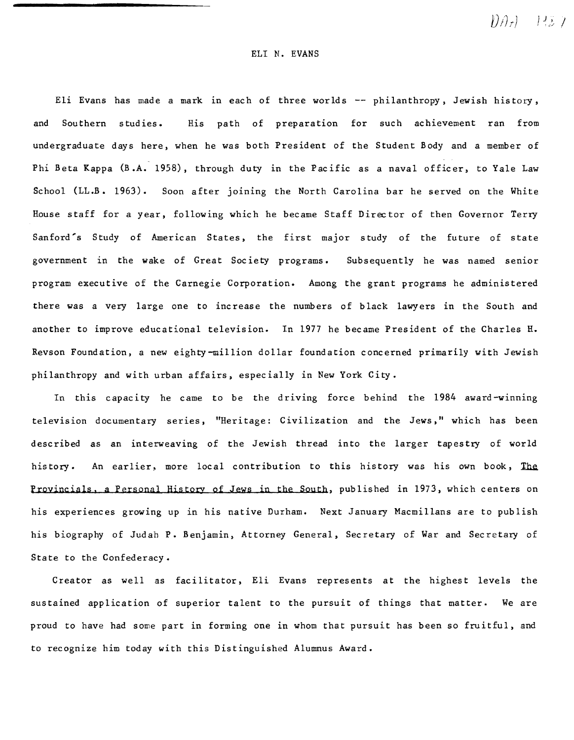$\mathcal{D}\mathcal{A}_t = \mathcal{D}\mathcal{I}$ 

#### ELI N. EVANS

Eli Evans has made a mark in each of three worlds  $-$  philanthropy, Jewish history, and Southern studies. His path of preparation for such achievement ran from undergraduate days here, when he was both President of the Student Body and a member of Phi Beta Kappa (B.A. 1958), through duty in the Pacific as a naval officer, to Yale Law School (LL.B. 1963). Soon after joining the North Carolina bar he served on the White House staff for a year, following which he became Staff Director of then Governor Terry Sanford's Study of American States, the first major study of the future of state government in the wake of Great Society programs. Subsequently he was named senior program executive of the Carnegie Corporation. Among the grant programs he administered there was a very large one to increase the numbers of black lawyers in the South and another to improve educational television. In 1977 he became President of the Charles H. Revson Foundation, a new eighty-million dollar foundation concerned primarily with Jewish philanthropy and with urban affairs, espec ially in New York City.

In this capacity he came to be the driving force behind the 1984 award-winning television documentary series, "Heritage: Civilization and the Jews," which has been described as an interweaving of the Jewish thread into the larger tapestry of world history. An earlier, more local contribution to this history was his own book, The Provincials, a Personal History of Jews in the South, published in 1973, which centers on his experiences growing up in his native Durham. Next January Macmillans are to publish his biography of Judah P. Benjamin, Attorney General, Secretary of War and Secretary of State to the Confederacy.

Creator as well as facilitator. Eli Evans represents at the highest levels the sustained application of superior talent to the pursuit of things that matter. We are proud to have had some part in forming one in whom that pursuit has been so fruitful, and to recognize him today with this Distinguished Alumnus Award.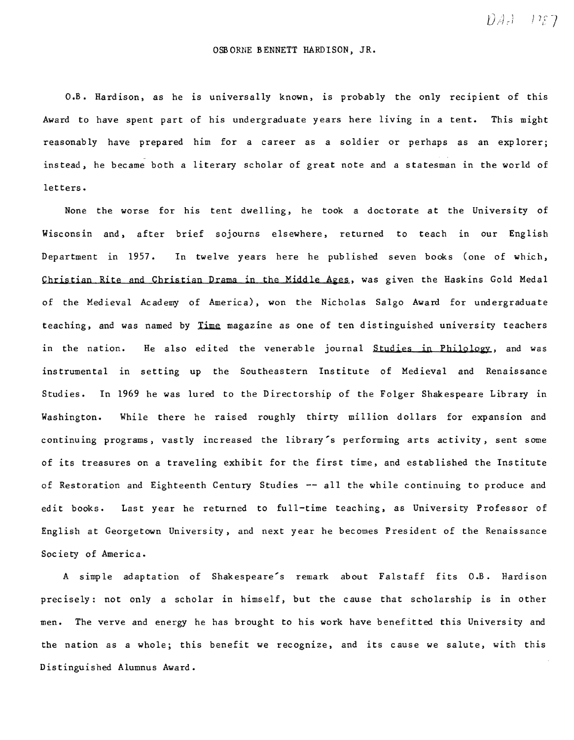$DAF1 - P27$ 

## OSBORNE BENNETT HARDISON, JR.

O.B. Hardison, as he is universally known. 1S probably the only recipient of this Award to have spent part of his undergraduate years here living in a tent. This might reasonably have prepared him for a career as a soldier or perhaps as an explorer; instead, he became both a literary scholar of great note and a statesman in the world of letters.

None the worse for his tent dwelling, he took a doc torate at the University of Wisconsin and, after brief sojourns elsewhere, returned to teach in our English Department in 1957. In twelve years here he published seven books (one of which, Christian Rite and Christian Drama in the Middle Ages, was given the Haskins Gold Medal of the Medieval Academy of America), won the Nicholas Salgo Award for undergraduate teaching, and was named by Time magazine as one of ten distinguished university teachers in the nation. He also edited the venerable journal Studies in Philology, and was instrumental in setting up the Southeastern Institute of Medieval and Renaissance Studies. In 1969 he was lured to the Directorship of the Folger Shakespeare Library in Washington. While there he raised roughly thirty million dollars for expansion and continuing programs, vastly increased the library's performing arts activity, sent some of its treasures on a traveling exhibit for the first time, and established the Institute of Restoration and Eighteenth Century Studies -- all the while continuing to produce and edit books. Last year he returned to full-time teaching, as University Professor of English at Georgetown University, and next year he becomes President of the Renaissance Soc iety of America.

A simple adaptation of Shakespeare's remark about Falstaff fits O.B. Hardison precisely: not only a scholar in himself, but the cause that scholarship is in other men. The verve and energy he has brought to his work have benefitted this University and the nation as a whole; this benefit we recognize, and its cause we salute, with this Distinguished Alumnus Award.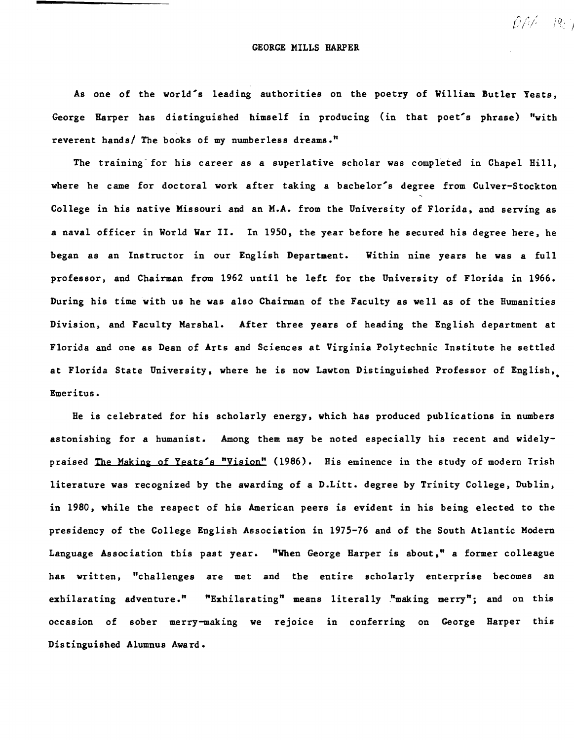### GEORGE MILLS HARPER

 $[0\rho\beta]=1q_{\rm eff}$ 

As one of the world's leading authorities on the poetry of William Butler Yeats, George Harper has distinguished himself in producing (in that poet's phrase) "with reverent hands/ The books of my numberless dreams."

The training for his career as a superlative scholar was completed in Chapel Hill, where he came for doctoral work after taking a bachelor's degree from Culver-Stockton College in his native Missouri and an M.A. from the University of Florida. and serving as a naval officer in World War II. In 1950, the year before he secured his degree here, he began as an Instructor in our English Department. Within nine years he was a full professor, and Chairman from 1962 until he left for the University of Florida in 1966. During his time with us he was also Chairman of the Faculty as well as of the Humanities Division, and Faculty MarshaL After three years of heading the English department at Florida and one as Dean of Arts and Sciences at Virginia Polytechnic Institute he settled at Florida State University, where he is now Lawton Distinguished Professor of English,• Emeritus.

He is celebrated for his scholarly energy, which has produced publications in numbers astonishing for a humanist. Among them may be noted especially his recent and widelypraised The Making of Yeats's "Vision" (1986). His eminence in the study of modern Irish literature was recognized by the awarding of a D.Litt. degree by Trinity College, Dublin, in 1980, while the respect of his American peers is evident in his being elected to the presidency of the College English Association in 1975-76 and of the South Atlantic Modern Language Association this past year. "When George Harper is about," a former colleague has written, "challenges are met and the entire scholarly enterprise becomes an exhilarating adventure." "Exhilarating" means literally "making merry"; and on this occasion of sober merry-making we rejoice in conferring on George Harper this Distinguished Alumnus Award.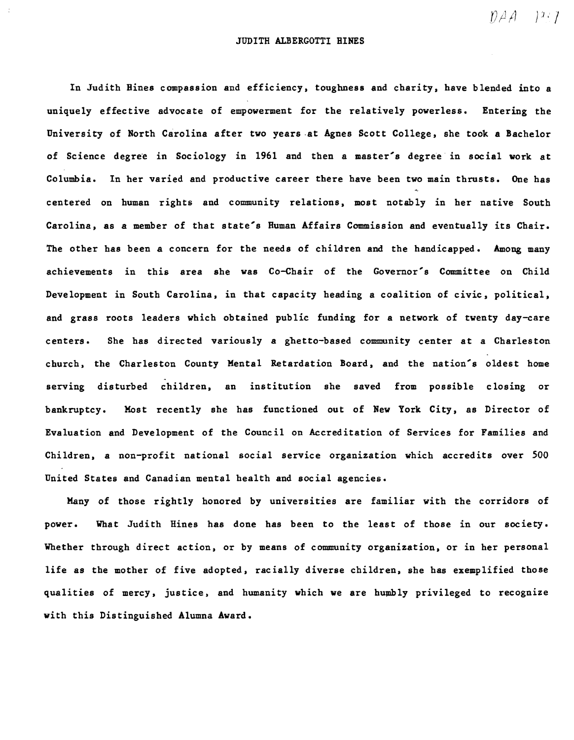$\mathcal{D} \mathcal{A}$   $\mathcal{V}^{i}$ 

## JUDITH ALBERGOTTI BINES

In Judith Bines compassion and efficiency, toughness and charity, have blended into a uniquely effective advocate of empowerment for the relatively powerless. Entering the University of North Carolina after two years ·at Agnes Scott College, she took a Bachelor of Science degree in Sociology in 1961 and then a master's degree in social work at Columbia. In her varied and productive career there have been two main thrusts. One has centered on human rights and community relations, most notably in her native South Carolina, as a member of that state's Ruman Affairs Commission and eventually its Chair. The other has been a concern for the needs of children and the handicapped. Among many achievements in this area she was Co-Chair of the Governor's Committee on Child Development in South Carolina, in that capacity heading a coalition of civic, political, and grass roots leaders which obtained public funding for a network of twenty day-care centers. She has direc ted variously a ghetto-based community center at a Charleston church, the Charleston County Mental Retardation Board, and the nation's oldest home . serving disturbed children, an institution she saved from possible closing or bankruptcy. Most recently she has functioned out of New York City, as Director of Evaluation and Development of the Council on Accreditation of Services for Families and Children, a non-profit national social service organization which accredits over 500 United States and Canadian mental health and social agencies.

Many of those rightly honored by universities are familiar with the corridors of power. What Judith Bines has done has been to the least of those in our society. Whether through direct action, or by means of community organization, or in her personal life as the mother of five adopted, racially diverse children, she has exemplified those qualities of mercy, justice, and humanity which we are humbly privileged to recognize with this Distinguished Alumna Award.